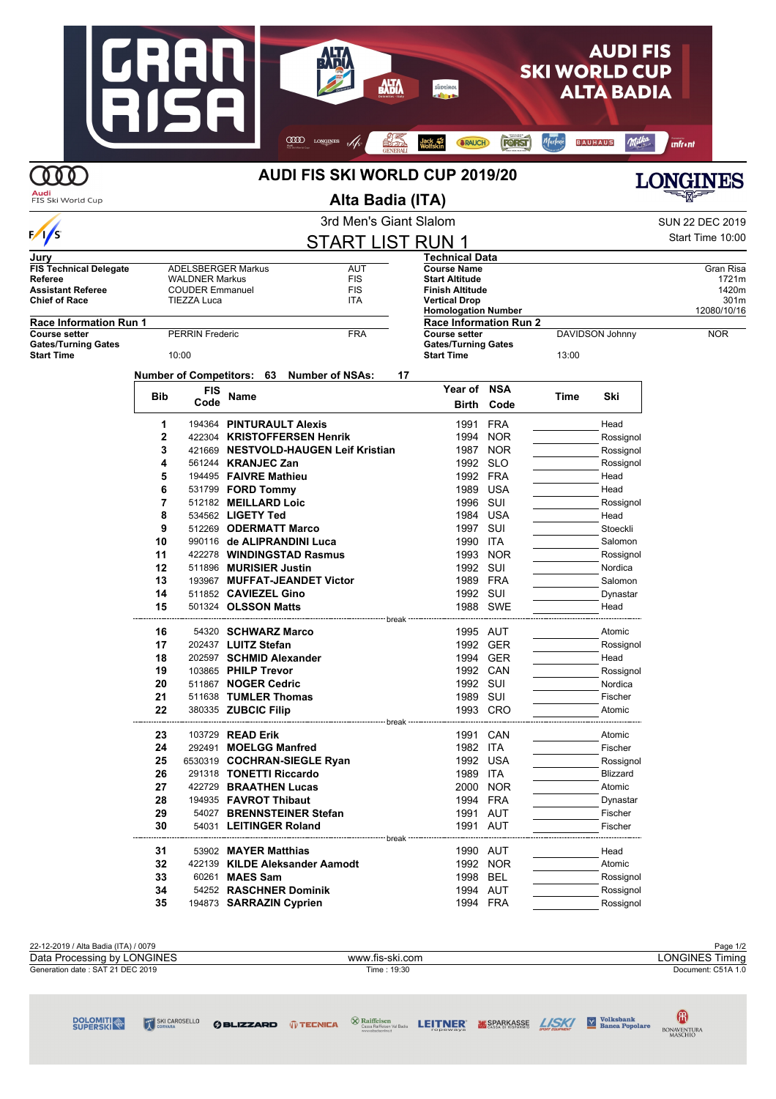#### **AUDIFIS SKI WORLD CUP AWA ALTA BADIA** COOD LONGINES M/S <u>ort</u> Marlene **SRAUCH FORST BAUHAUS** Milka Jack 4 **Infrent DOO AUDI FIS SKI WORLD CUP 2019/20**



## **Alta Badia (ITA)**



3rd Men's Giant Slalom Sun 22 DEC 2019  $\frac{1}{s}$ Start Time 10:00 START LIST RUN 1 **Technical Data Jury FIS Technical Delegate** ADELSBERGER Markus AUT<br> **Referee** WALDNER Markus FIS **Course Name** Gran Risa<br> **Start Altitude** 1721m **Referee The COUDER Markus COUDER Markus** FIS<br> **Assistant Referee** COUDER Emmanuel FIS **Start Altitude** 1721m Assistant References<br> **Assistant References**<br>
TIEZZA Luca **FIS Finish Altitude** 1420m **Chief of Race Vertical Drop** 301m **Homologation Number Race Information Run 1**<br>Course setter **Race Information Run 2 PERRIN Frederic FRA COURSON Johnny NOR Gates/Turning Gates Gates/Turning Gates Start Time** 10:00 **Start Time** 13:00 **Number of Competitors: 63 Number of NSAs: 17 Year of NSA Bib FIS Code Name Time Ski Birth Code 1** 194364 **PINTURAULT Alexis** 1991 FRA Head **2** 422304 **KRISTOFFERSEN Henrik** 1994 NOR Rossignol **3** 421669 **NESTVOLD-HAUGEN Leif Kristian** 1987 NOR Rossignol **4** 561244 **KRANJEC Zan** 1992 SLO Rossignol **5** 194495 **FAIVRE Mathieu** 1992 **FRA** Head **6** 531799 **FORD Tommy** 1989 USA Head **7** 512182 **MEILLARD Loic 1996 SUI Rossignol 8** 534562 LIGETY Ted 1984 USA Head **9** 512269 **ODERMATT Marco** 1997 SUI Stoeckli **10 990116 de ALIPRANDINI Luca** 1990 ITA Salomon **11** 422278 **WINDINGSTAD Rasmus** 1993 NOR Rossignol **12** 511896 **MURISIER Justin** 1992 SUI Nordica **13** 193967 **MUFFAT-JEANDET Victor** 1989 FRA Salomon **14** 511852 **CAVIEZEL Gino 1992 SUI Dynastar** Dynastar **15** 501324 **OLSSON Matts 1988 SWE** Head break **16** 54320 **SCHWARZ Marco** 1995 AUT Atomic **17** 202437 **LUITZ Stefan** 1992 GER Rossignol **18** 202597 **SCHMID Alexander** 1994 GER Head **19** 103865 **PHILP Trevor 1992 CAN Rossignol 20** 511867 **NOGER Cedric 1992 SUI Nordical 1992 SUI Nordical Reserve Executes 1989 SUI** Nordical Pischer **21** 511638 **TUMLER Thomas 22** 380335 **ZUBCIC Filip** 1993 CRO **Atomic** break **23** 103729 **READ Erik 1991 CAN** 1991 CAN Atomic **24** 292491 **MOELGG Manfred 1991** CAN **1982** ITA **1991** Fischer **24** 292491 **MOELGG Manfred** 1982 ITA Fischer **25** 6530319 **COCHRAN-SIEGLE Ryan** 1992 USA Rossignol **26** 291318 **TONETTI Riccardo** 1989 ITA Blizzard **27 422729 BRAATHEN Lucas** 2000 NOR Atomic **28** 194935 **FAVROT Thibaut** 1994 **FRA** Dynastar **29** 54027 **BRENNSTEINER Stefan** 1991 AUT Fischer **30** 54031 **LEITINGER Roland** 1991 AUT Fischer break **31** 53902 **MAYER Matthias** 1990 AUT Head **32** 422139 KILDE Aleksander Aamodt 1992 NOR Atomic **33** 60261 **MAES Sam 1998 BEL Rossignol** Rossignol **34 54252 RASCHNER Dominik** 1994 AUT Rossignol **35 194873 SARRAZIN Cyprien** 1994 FRA Rossignol

| 22-12-2019 / Alta Badia (ITA) / 0079 |                 | Page 1/2           |
|--------------------------------------|-----------------|--------------------|
| Data Processing by LONGINES          | www.fis-ski.com | LONGINES Timing    |
| Generation date: SAT 21 DEC 2019     | Time: 19:30     | Document: C51A 1.0 |
|                                      |                 |                    |

SKI CAROSELLO

 $\bigotimes$  Raiffeisen<br>Cassa Raiffeisen Val Badia **GBLIZZARD** *Q* TECNICA

**LEITNER ESPARKASSE** *LISKI* **M** Banca Popolare